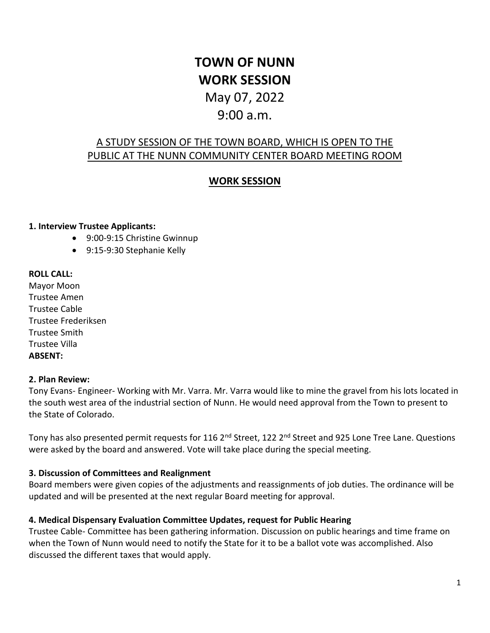# **TOWN OF NUNN WORK SESSION**

## May 07, 2022 9:00 a.m.

## A STUDY SESSION OF THE TOWN BOARD, WHICH IS OPEN TO THE PUBLIC AT THE NUNN COMMUNITY CENTER BOARD MEETING ROOM

### **WORK SESSION**

#### **1. Interview Trustee Applicants:**

- 9:00-9:15 Christine Gwinnup
- 9:15-9:30 Stephanie Kelly

#### **ROLL CALL:**

Mayor Moon Trustee Amen Trustee Cable Trustee Frederiksen Trustee Smith Trustee Villa **ABSENT:** 

#### **2. Plan Review:**

Tony Evans- Engineer- Working with Mr. Varra. Mr. Varra would like to mine the gravel from his lots located in the south west area of the industrial section of Nunn. He would need approval from the Town to present to the State of Colorado.

Tony has also presented permit requests for 116 2<sup>nd</sup> Street, 122 2<sup>nd</sup> Street and 925 Lone Tree Lane. Questions were asked by the board and answered. Vote will take place during the special meeting.

#### **3. Discussion of Committees and Realignment**

Board members were given copies of the adjustments and reassignments of job duties. The ordinance will be updated and will be presented at the next regular Board meeting for approval.

#### **4. Medical Dispensary Evaluation Committee Updates, request for Public Hearing**

Trustee Cable- Committee has been gathering information. Discussion on public hearings and time frame on when the Town of Nunn would need to notify the State for it to be a ballot vote was accomplished. Also discussed the different taxes that would apply.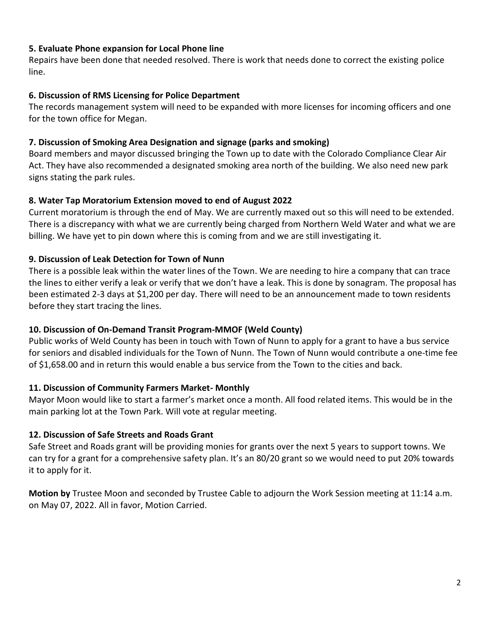#### **5. Evaluate Phone expansion for Local Phone line**

Repairs have been done that needed resolved. There is work that needs done to correct the existing police line.

#### **6. Discussion of RMS Licensing for Police Department**

The records management system will need to be expanded with more licenses for incoming officers and one for the town office for Megan.

#### **7. Discussion of Smoking Area Designation and signage (parks and smoking)**

Board members and mayor discussed bringing the Town up to date with the Colorado Compliance Clear Air Act. They have also recommended a designated smoking area north of the building. We also need new park signs stating the park rules.

#### **8. Water Tap Moratorium Extension moved to end of August 2022**

Current moratorium is through the end of May. We are currently maxed out so this will need to be extended. There is a discrepancy with what we are currently being charged from Northern Weld Water and what we are billing. We have yet to pin down where this is coming from and we are still investigating it.

#### **9. Discussion of Leak Detection for Town of Nunn**

There is a possible leak within the water lines of the Town. We are needing to hire a company that can trace the lines to either verify a leak or verify that we don't have a leak. This is done by sonagram. The proposal has been estimated 2-3 days at \$1,200 per day. There will need to be an announcement made to town residents before they start tracing the lines.

#### **10. Discussion of On-Demand Transit Program-MMOF (Weld County)**

Public works of Weld County has been in touch with Town of Nunn to apply for a grant to have a bus service for seniors and disabled individuals for the Town of Nunn. The Town of Nunn would contribute a one-time fee of \$1,658.00 and in return this would enable a bus service from the Town to the cities and back.

#### **11. Discussion of Community Farmers Market- Monthly**

Mayor Moon would like to start a farmer's market once a month. All food related items. This would be in the main parking lot at the Town Park. Will vote at regular meeting.

#### **12. Discussion of Safe Streets and Roads Grant**

Safe Street and Roads grant will be providing monies for grants over the next 5 years to support towns. We can try for a grant for a comprehensive safety plan. It's an 80/20 grant so we would need to put 20% towards it to apply for it.

**Motion by** Trustee Moon and seconded by Trustee Cable to adjourn the Work Session meeting at 11:14 a.m. on May 07, 2022. All in favor, Motion Carried.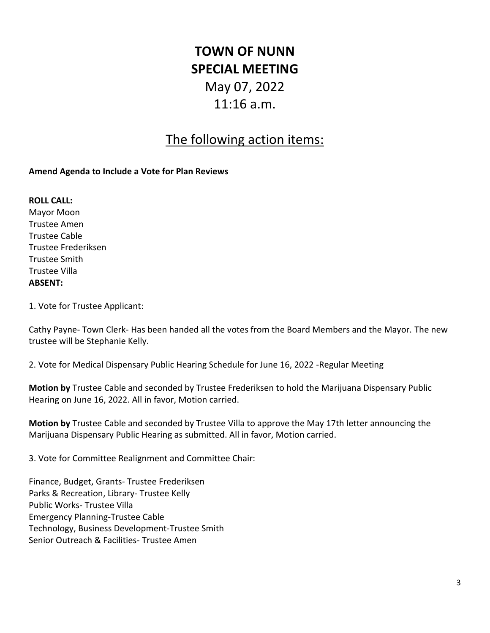# **TOWN OF NUNN SPECIAL MEETING** May 07, 2022 11:16 a.m.

## The following action items:

#### **Amend Agenda to Include a Vote for Plan Reviews**

**ROLL CALL:**  Mayor Moon Trustee Amen Trustee Cable Trustee Frederiksen Trustee Smith Trustee Villa **ABSENT:**

1. Vote for Trustee Applicant:

Cathy Payne- Town Clerk- Has been handed all the votes from the Board Members and the Mayor. The new trustee will be Stephanie Kelly.

2. Vote for Medical Dispensary Public Hearing Schedule for June 16, 2022 -Regular Meeting

**Motion by** Trustee Cable and seconded by Trustee Frederiksen to hold the Marijuana Dispensary Public Hearing on June 16, 2022. All in favor, Motion carried.

**Motion by** Trustee Cable and seconded by Trustee Villa to approve the May 17th letter announcing the Marijuana Dispensary Public Hearing as submitted. All in favor, Motion carried.

3. Vote for Committee Realignment and Committee Chair:

Finance, Budget, Grants- Trustee Frederiksen Parks & Recreation, Library- Trustee Kelly Public Works- Trustee Villa Emergency Planning-Trustee Cable Technology, Business Development-Trustee Smith Senior Outreach & Facilities- Trustee Amen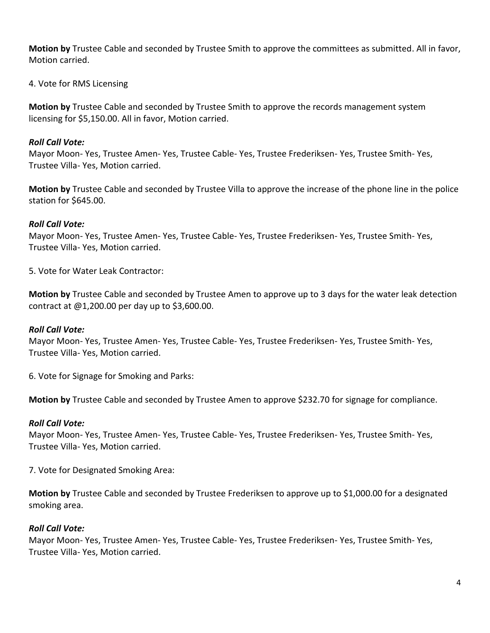**Motion by** Trustee Cable and seconded by Trustee Smith to approve the committees as submitted. All in favor, Motion carried.

4. Vote for RMS Licensing

**Motion by** Trustee Cable and seconded by Trustee Smith to approve the records management system licensing for \$5,150.00. All in favor, Motion carried.

#### *Roll Call Vote:*

Mayor Moon- Yes, Trustee Amen- Yes, Trustee Cable- Yes, Trustee Frederiksen- Yes, Trustee Smith- Yes, Trustee Villa- Yes, Motion carried.

**Motion by** Trustee Cable and seconded by Trustee Villa to approve the increase of the phone line in the police station for \$645.00.

#### *Roll Call Vote:*

Mayor Moon- Yes, Trustee Amen- Yes, Trustee Cable- Yes, Trustee Frederiksen- Yes, Trustee Smith- Yes, Trustee Villa- Yes, Motion carried.

5. Vote for Water Leak Contractor:

**Motion by** Trustee Cable and seconded by Trustee Amen to approve up to 3 days for the water leak detection contract at @1,200.00 per day up to \$3,600.00.

#### *Roll Call Vote:*

Mayor Moon- Yes, Trustee Amen- Yes, Trustee Cable- Yes, Trustee Frederiksen- Yes, Trustee Smith- Yes, Trustee Villa- Yes, Motion carried.

6. Vote for Signage for Smoking and Parks:

**Motion by** Trustee Cable and seconded by Trustee Amen to approve \$232.70 for signage for compliance.

#### *Roll Call Vote:*

Mayor Moon- Yes, Trustee Amen- Yes, Trustee Cable- Yes, Trustee Frederiksen- Yes, Trustee Smith- Yes, Trustee Villa- Yes, Motion carried.

7. Vote for Designated Smoking Area:

**Motion by** Trustee Cable and seconded by Trustee Frederiksen to approve up to \$1,000.00 for a designated smoking area.

#### *Roll Call Vote:*

Mayor Moon- Yes, Trustee Amen- Yes, Trustee Cable- Yes, Trustee Frederiksen- Yes, Trustee Smith- Yes, Trustee Villa- Yes, Motion carried.